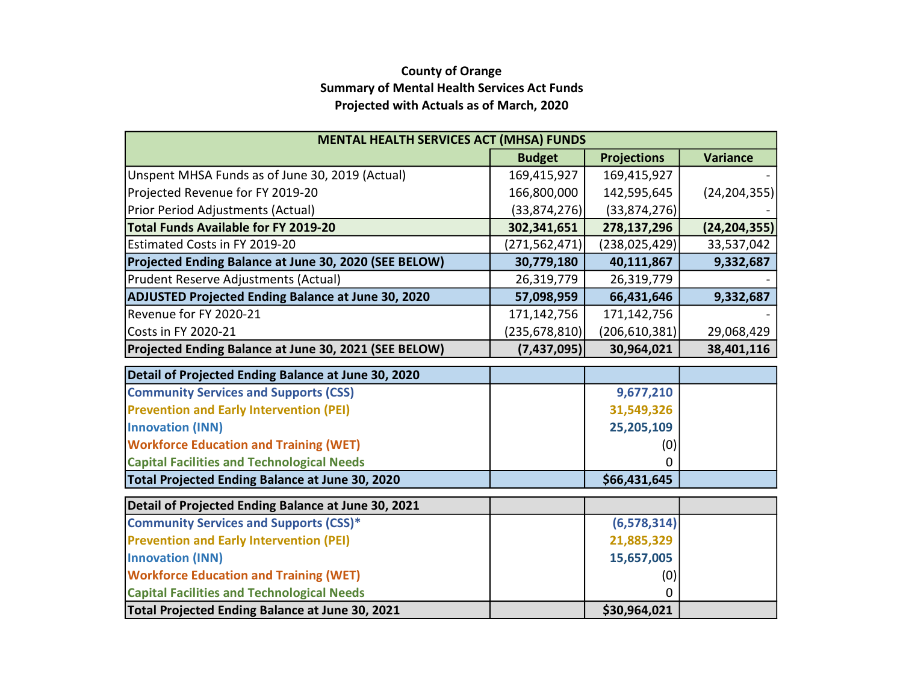## County of Orange Summary of Mental Health Services Act Funds Projected with Actuals as of March, 2020

| <b>MENTAL HEALTH SERVICES ACT (MHSA) FUNDS</b>            |                 |                    |                 |  |  |  |  |  |  |  |
|-----------------------------------------------------------|-----------------|--------------------|-----------------|--|--|--|--|--|--|--|
|                                                           | <b>Budget</b>   | <b>Projections</b> | <b>Variance</b> |  |  |  |  |  |  |  |
| Unspent MHSA Funds as of June 30, 2019 (Actual)           | 169,415,927     | 169,415,927        |                 |  |  |  |  |  |  |  |
| Projected Revenue for FY 2019-20                          | 166,800,000     | 142,595,645        | (24, 204, 355)  |  |  |  |  |  |  |  |
| Prior Period Adjustments (Actual)                         | (33,874,276)    | (33,874,276)       |                 |  |  |  |  |  |  |  |
| <b>Total Funds Available for FY 2019-20</b>               | 302,341,651     | 278,137,296        | (24, 204, 355)  |  |  |  |  |  |  |  |
| Estimated Costs in FY 2019-20                             | (271, 562, 471) | (238, 025, 429)    | 33,537,042      |  |  |  |  |  |  |  |
| Projected Ending Balance at June 30, 2020 (SEE BELOW)     | 30,779,180      | 40,111,867         | 9,332,687       |  |  |  |  |  |  |  |
| Prudent Reserve Adjustments (Actual)                      | 26,319,779      | 26,319,779         |                 |  |  |  |  |  |  |  |
| <b>ADJUSTED Projected Ending Balance at June 30, 2020</b> | 57,098,959      | 66,431,646         | 9,332,687       |  |  |  |  |  |  |  |
| Revenue for FY 2020-21                                    | 171,142,756     | 171,142,756        |                 |  |  |  |  |  |  |  |
| <b>Costs in FY 2020-21</b>                                | (235, 678, 810) | (206, 610, 381)    | 29,068,429      |  |  |  |  |  |  |  |
| Projected Ending Balance at June 30, 2021 (SEE BELOW)     | (7,437,095)     | 30,964,021         | 38,401,116      |  |  |  |  |  |  |  |
| Detail of Projected Ending Balance at June 30, 2020       |                 |                    |                 |  |  |  |  |  |  |  |
| <b>Community Services and Supports (CSS)</b>              |                 | 9,677,210          |                 |  |  |  |  |  |  |  |
| <b>Prevention and Early Intervention (PEI)</b>            |                 | 31,549,326         |                 |  |  |  |  |  |  |  |
| <b>Innovation (INN)</b>                                   |                 | 25,205,109         |                 |  |  |  |  |  |  |  |
| <b>Workforce Education and Training (WET)</b>             |                 | (0)                |                 |  |  |  |  |  |  |  |
| <b>Capital Facilities and Technological Needs</b>         |                 | 0                  |                 |  |  |  |  |  |  |  |
| Total Projected Ending Balance at June 30, 2020           |                 | \$66,431,645       |                 |  |  |  |  |  |  |  |
| Detail of Projected Ending Balance at June 30, 2021       |                 |                    |                 |  |  |  |  |  |  |  |
| <b>Community Services and Supports (CSS)*</b>             |                 | (6, 578, 314)      |                 |  |  |  |  |  |  |  |
| <b>Prevention and Early Intervention (PEI)</b>            |                 | 21,885,329         |                 |  |  |  |  |  |  |  |
| <b>Innovation (INN)</b>                                   |                 | 15,657,005         |                 |  |  |  |  |  |  |  |
| <b>Workforce Education and Training (WET)</b>             |                 | (0)                |                 |  |  |  |  |  |  |  |
| <b>Capital Facilities and Technological Needs</b>         |                 | 0                  |                 |  |  |  |  |  |  |  |
| Total Projected Ending Balance at June 30, 2021           |                 | \$30,964,021       |                 |  |  |  |  |  |  |  |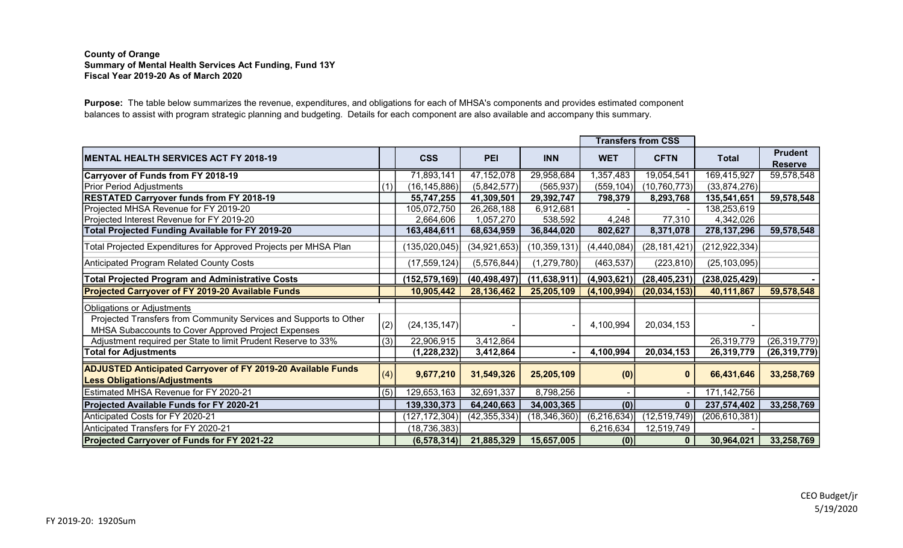## County of Orange Summary of Mental Health Services Act Funding, Fund 13Y Fiscal Year 2019-20 As of March 2020

Purpose: The table below summarizes the revenue, expenditures, and obligations for each of MHSA's components and provides estimated component balances to assist with program strategic planning and budgeting. Details for each component are also available and accompany this summary.

|                                                                                                                          |     |                 |                |                | <b>Transfers from CSS</b> |                |                 |                                  |
|--------------------------------------------------------------------------------------------------------------------------|-----|-----------------|----------------|----------------|---------------------------|----------------|-----------------|----------------------------------|
| MENTAL HEALTH SERVICES ACT FY 2018-19                                                                                    |     | <b>CSS</b>      | <b>PEI</b>     | <b>INN</b>     | <b>WET</b>                | <b>CFTN</b>    | <b>Total</b>    | <b>Prudent</b><br><b>Reserve</b> |
| <b>Carryover of Funds from FY 2018-19</b>                                                                                |     | 71,893,141      | 47, 152, 078   | 29,958,684     | 1,357,483                 | 19,054,541     | 169,415,927     | 59,578,548                       |
| Prior Period Adjustments                                                                                                 | (1) | (16, 145, 886)  | (5,842,577)    | (565, 937)     | (559, 104)                | (10, 760, 773) | (33,874,276)    |                                  |
| <b>RESTATED Carryover funds from FY 2018-19</b>                                                                          |     | 55,747,255      | 41,309,501     | 29,392,747     | 798,379                   | 8,293,768      | 135,541,651     | 59,578,548                       |
| Projected MHSA Revenue for FY 2019-20                                                                                    |     | 105,072,750     | 26,268,188     | 6,912,681      |                           |                | 138,253,619     |                                  |
| Projected Interest Revenue for FY 2019-20                                                                                |     | 2,664,606       | 1,057,270      | 538,592        | 4,248                     | 77,310         | 4,342,026       |                                  |
| <b>Total Projected Funding Available for FY 2019-20</b>                                                                  |     | 163,484,611     | 68,634,959     | 36,844,020     | 802,627                   | 8,371,078      | 278, 137, 296   | 59,578,548                       |
| Total Projected Expenditures for Approved Projects per MHSA Plan                                                         |     | (135, 020, 045) | (34, 921, 653) | (10, 359, 131) | (4,440,084)               | (28, 181, 421) | (212, 922, 334) |                                  |
| Anticipated Program Related County Costs                                                                                 |     | (17, 559, 124)  | (5,576,844)    | (1, 279, 780)  | (463, 537)                | (223, 810)     | (25, 103, 095)  |                                  |
| <b>Total Projected Program and Administrative Costs</b>                                                                  |     | (152, 579, 169) | (40, 498, 497) | (11, 638, 911) | (4,903,621)               | (28, 405, 231) | (238, 025, 429) |                                  |
| Projected Carryover of FY 2019-20 Available Funds                                                                        |     | 10,905,442      | 28,136,462     | 25,205,109     | (4, 100, 994)             | (20, 034, 153) | 40,111,867      | 59,578,548                       |
| <b>Obligations or Adjustments</b>                                                                                        |     |                 |                |                |                           |                |                 |                                  |
| Projected Transfers from Community Services and Supports to Other<br>MHSA Subaccounts to Cover Approved Project Expenses | (2) | (24, 135, 147)  |                |                | 4,100,994                 | 20,034,153     |                 |                                  |
| Adjustment required per State to limit Prudent Reserve to 33%                                                            | (3) | 22,906,915      | 3,412,864      |                |                           |                | 26,319,779      | (26, 319, 779)                   |
| <b>Total for Adjustments</b>                                                                                             |     | (1, 228, 232)   | 3,412,864      |                | 4,100,994                 | 20,034,153     | 26,319,779      | (26, 319, 779)                   |
| <b>ADJUSTED Anticipated Carryover of FY 2019-20 Available Funds</b><br><b>Less Obligations/Adjustments</b>               | (4) | 9,677,210       | 31,549,326     | 25,205,109     | (0)                       | $\bf{0}$       | 66,431,646      | 33,258,769                       |
| Estimated MHSA Revenue for FY 2020-21                                                                                    | (5) | 129,653,163     | 32,691,337     | 8,798,256      |                           |                | 171, 142, 756   |                                  |
| Projected Available Funds for FY 2020-21                                                                                 |     | 139,330,373     | 64,240,663     | 34,003,365     | (0)                       | $\mathbf{0}$   | 237,574,402     | 33,258,769                       |
| Anticipated Costs for FY 2020-21                                                                                         |     | (127, 172, 304) | (42, 355, 334) | (18, 346, 360) | (6, 216, 634)             | (12, 519, 749) | (206, 610, 381) |                                  |
| Anticipated Transfers for FY 2020-21                                                                                     |     | (18, 736, 383)  |                |                | 6,216,634                 | 12,519,749     |                 |                                  |
| Projected Carryover of Funds for FY 2021-22                                                                              |     | (6, 578, 314)   | 21,885,329     | 15,657,005     | (0)                       | $\mathbf{0}$   | 30,964,021      | 33,258,769                       |